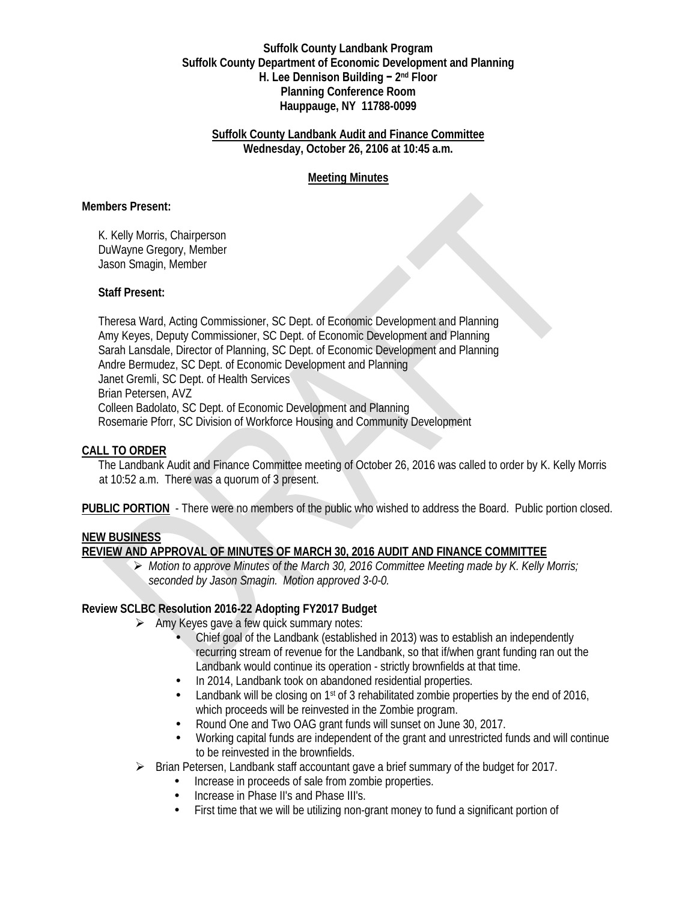#### **Suffolk County Landbank Program Suffolk County Department of Economic Development and Planning H. Lee Dennison Building − 2nd Floor Planning Conference Room Hauppauge, NY 11788-0099**

#### **Suffolk County Landbank Audit and Finance Committee Wednesday, October 26, 2106 at 10:45 a.m.**

## **Meeting Minutes**

#### **Members Present:**

K. Kelly Morris, Chairperson DuWayne Gregory, Member Jason Smagin, Member

#### **Staff Present:**

Theresa Ward, Acting Commissioner, SC Dept. of Economic Development and Planning Amy Keyes, Deputy Commissioner, SC Dept. of Economic Development and Planning Sarah Lansdale, Director of Planning, SC Dept. of Economic Development and Planning Andre Bermudez, SC Dept. of Economic Development and Planning Janet Gremli, SC Dept. of Health Services Brian Petersen, AVZ Colleen Badolato, SC Dept. of Economic Development and Planning Rosemarie Pforr, SC Division of Workforce Housing and Community Development

### **CALL TO ORDER**

The Landbank Audit and Finance Committee meeting of October 26, 2016 was called to order by K. Kelly Morris at 10:52 a.m. There was a quorum of 3 present.

**PUBLIC PORTION** - There were no members of the public who wished to address the Board. Public portion closed.

### **NEW BUSINESS**

### **REVIEW AND APPROVAL OF MINUTES OF MARCH 30, 2016 AUDIT AND FINANCE COMMITTEE**

 *Motion to approve Minutes of the March 30, 2016 Committee Meeting made by K. Kelly Morris; seconded by Jason Smagin. Motion approved 3-0-0.*

### **Review SCLBC Resolution 2016-22 Adopting FY2017 Budget**

- $\triangleright$  Amy Keyes gave a few quick summary notes:
	- Chief goal of the Landbank (established in 2013) was to establish an independently recurring stream of revenue for the Landbank, so that if/when grant funding ran out the Landbank would continue its operation - strictly brownfields at that time.
	- In 2014, Landbank took on abandoned residential properties.
	- Landbank will be closing on 1<sup>st</sup> of 3 rehabilitated zombie properties by the end of 2016, which proceeds will be reinvested in the Zombie program.
	- Round One and Two OAG grant funds will sunset on June 30, 2017.
	- Working capital funds are independent of the grant and unrestricted funds and will continue to be reinvested in the brownfields.
- Brian Petersen, Landbank staff accountant gave a brief summary of the budget for 2017.
	- Increase in proceeds of sale from zombie properties.
	- Increase in Phase II's and Phase III's.
	- First time that we will be utilizing non-grant money to fund a significant portion of